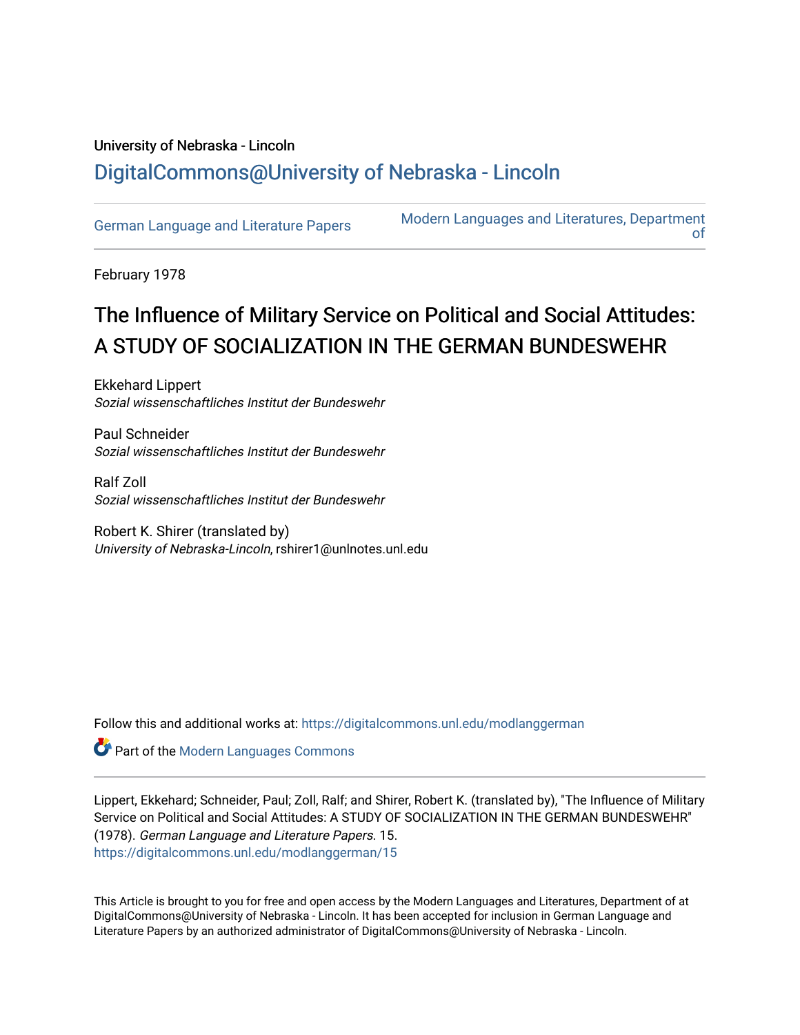# University of Nebraska - Lincoln [DigitalCommons@University of Nebraska - Lincoln](https://digitalcommons.unl.edu/)

[German Language and Literature Papers](https://digitalcommons.unl.edu/modlanggerman) Modern Languages and Literatures, Department [of](https://digitalcommons.unl.edu/modernlanguages) 

February 1978

# The Influence of Military Service on Political and Social Attitudes: A STUDY OF SOCIALIZATION IN THE GERMAN BUNDESWEHR

Ekkehard Lippert Sozial wissenschaftliches Institut der Bundeswehr

Paul Schneider Sozial wissenschaftliches Institut der Bundeswehr

Ralf Zoll Sozial wissenschaftliches Institut der Bundeswehr

Robert K. Shirer (translated by) University of Nebraska-Lincoln, rshirer1@unlnotes.unl.edu

Follow this and additional works at: [https://digitalcommons.unl.edu/modlanggerman](https://digitalcommons.unl.edu/modlanggerman?utm_source=digitalcommons.unl.edu%2Fmodlanggerman%2F15&utm_medium=PDF&utm_campaign=PDFCoverPages) 

**Part of the Modern Languages Commons** 

Lippert, Ekkehard; Schneider, Paul; Zoll, Ralf; and Shirer, Robert K. (translated by), "The Influence of Military Service on Political and Social Attitudes: A STUDY OF SOCIALIZATION IN THE GERMAN BUNDESWEHR" (1978). German Language and Literature Papers. 15. [https://digitalcommons.unl.edu/modlanggerman/15](https://digitalcommons.unl.edu/modlanggerman/15?utm_source=digitalcommons.unl.edu%2Fmodlanggerman%2F15&utm_medium=PDF&utm_campaign=PDFCoverPages)

This Article is brought to you for free and open access by the Modern Languages and Literatures, Department of at DigitalCommons@University of Nebraska - Lincoln. It has been accepted for inclusion in German Language and Literature Papers by an authorized administrator of DigitalCommons@University of Nebraska - Lincoln.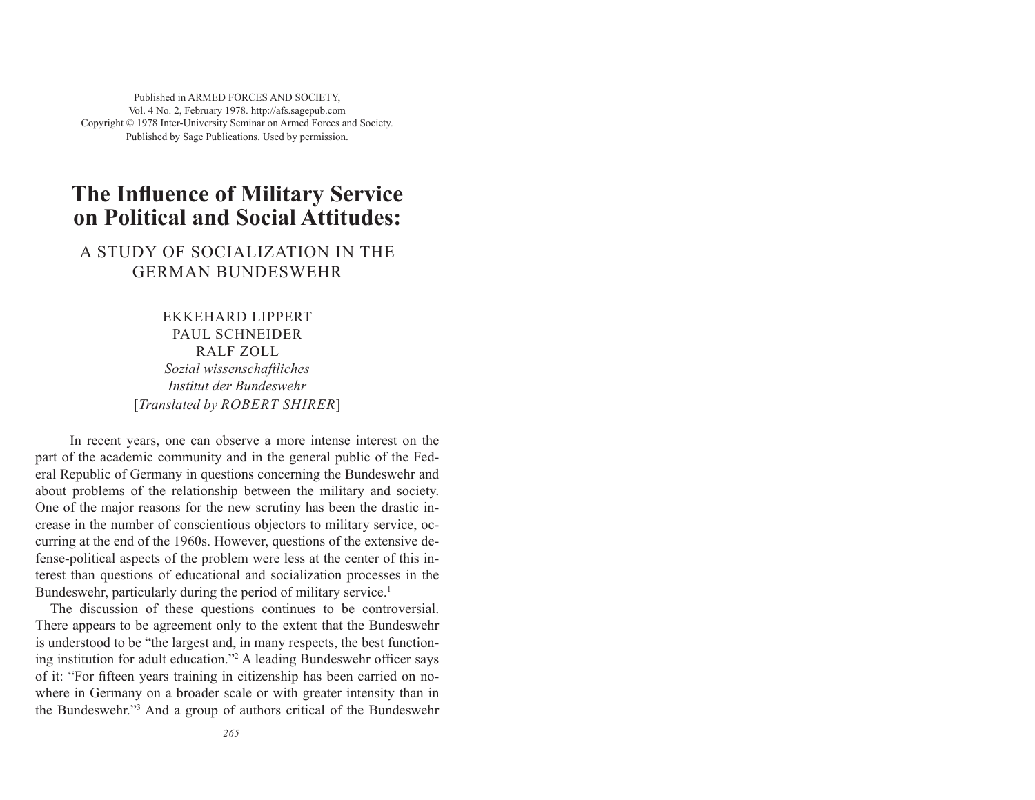Published in ARMED FORCES AND SOCIETY, Vol. 4 No. 2, February 1978. http://afs.sagepub.com Copyright © 1978 Inter-University Seminar on Armed Forces and Society. Published by Sage Publications. Used by permission.

## **The Influence of Military Service on Political and Social Attitudes:**

### A STUDY OF SOCIALIZATION IN THE GERMAN BUNDESWEHR

EKKEHARD LIPPERT PAUL SCHNEIDER RALF ZOLL *Sozial wissenschaftliches Institut der Bundeswehr* [*Translated by ROBERT SHIRER*]

In recent years, one can observe a more intense interest on the part of the academic community and in the general public of the Federal Republic of Germany in questions concerning the Bundeswehr and about problems of the relationship between the military and society. One of the major reasons for the new scrutiny has been the drastic increase in the number of conscientious objectors to military service, occurring at the end of the 1960s. However, questions of the extensive defense-political aspects of the problem were less at the center of this interest than questions of educational and socialization processes in the Bundeswehr, particularly during the period of military service.<sup>1</sup>

The discussion of these questions continues to be controversial. There appears to be agreement only to the extent that the Bundeswehr is understood to be "the largest and, in many respects, the best functioning institution for adult education."<sup>2</sup> A leading Bundeswehr officer says of it: "For fi fteen years training in citizenship has been carried on nowhere in Germany on a broader scale or with greater intensity than in the Bundeswehr."3 And a group of authors critical of the Bundeswehr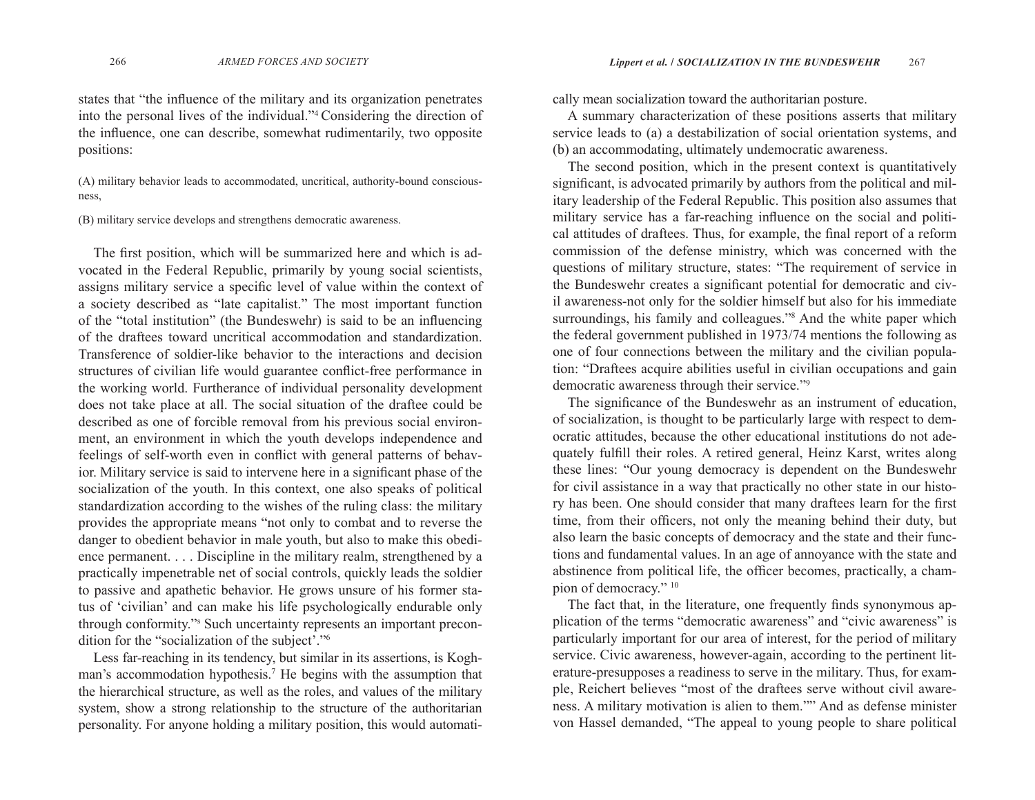states that "the influence of the military and its organization penetrates into the personal lives of the individual."4 Considering the direction of the influence, one can describe, somewhat rudimentarily, two opposite positions:

(A) military behavior leads to accommodated, uncritical, authority-bound consciousness,

(B) military service develops and strengthens democratic awareness.

The first position, which will be summarized here and which is advocated in the Federal Republic, primarily by young social scientists, assigns military service a specific level of value within the context of a society described as "late capitalist." The most important function of the "total institution" (the Bundeswehr) is said to be an influencing of the draftees toward uncritical accommodation and standardization. Transference of soldier-like behavior to the interactions and decision structures of civilian life would guarantee conflict-free performance in the working world. Furtherance of individual personality development does not take place at all. The social situation of the draftee could be described as one of forcible removal from his previous social environment, an environment in which the youth develops independence and feelings of self-worth even in conflict with general patterns of behavior. Military service is said to intervene here in a significant phase of the socialization of the youth. In this context, one also speaks of political standardization according to the wishes of the ruling class: the military provides the appropriate means "not only to combat and to reverse the danger to obedient behavior in male youth, but also to make this obedience permanent. . . . Discipline in the military realm, strengthened by a practically impenetrable net of social controls, quickly leads the soldier to passive and apathetic behavior. He grows unsure of his former status of 'civilian' and can make his life psychologically endurable only through conformity."s Such uncertainty represents an important precondition for the "socialization of the subject'."6

Less far-reaching in its tendency, but similar in its assertions, is Koghman's accommodation hypothesis.7 He begins with the assumption that the hierarchical structure, as well as the roles, and values of the military system, show a strong relationship to the structure of the authoritarian personality. For anyone holding a military position, this would automati-

cally mean socialization toward the authoritarian posture.<br>A summary characterization of these positions asserts that military<br>service leads to (a) a destabilization of social orientation systems, and<br>(b) an accommodating,

significant, is advocated primarily by authors from the political and military leadership of the Federal Republic. This position also assumes that military service has a far-reaching influence on the social and political attitudes of draftees. Thus, for example, the final report of a reform commission of the defense ministry, which was concerned with the questions of military structure, states: "The requirement of service in the Bundeswehr creates a significant potential for democratic and civil awareness-not only for the soldier himself but also for his immediate surroundings, his family and colleagues."<sup>8</sup> And the white paper which the federal government published in 1973/74 mentions the following as one of four connections between the military and the civilian population: "Draftees acquire abilities useful in civilian occupations and gain democratic awareness through their service."9

The significance of the Bundeswehr as an instrument of education, of socialization, is thought to be particularly large with respect to democratic attitudes, because the other educational institutions do not adequately fulfill their roles. A retired general, Heinz Karst, writes along these lines: "Our young democracy is dependent on the Bundeswehr for civil assistance in a way that practically no other state in our history has been. One should consider that many draftees learn for the first time, from their officers, not only the meaning behind their duty, but also learn the basic concepts of democracy and the state and their functions and fundamental values. In an age of annoyance with the state and abstinence from political life, the officer becomes, practically, a champion of democracy." 10

The fact that, in the literature, one frequently finds synonymous application of the terms "democratic awareness" and "civic awareness" is particularly important for our area of interest, for the period of military service. Civic awareness, however-again, according to the pertinent literature-presupposes a readiness to serve in the military. Thus, for example, Reichert believes "most of the draftees serve without civil awareness. A military motivation is alien to them."" And as defense minister von Hassel demanded, "The appeal to young people to share political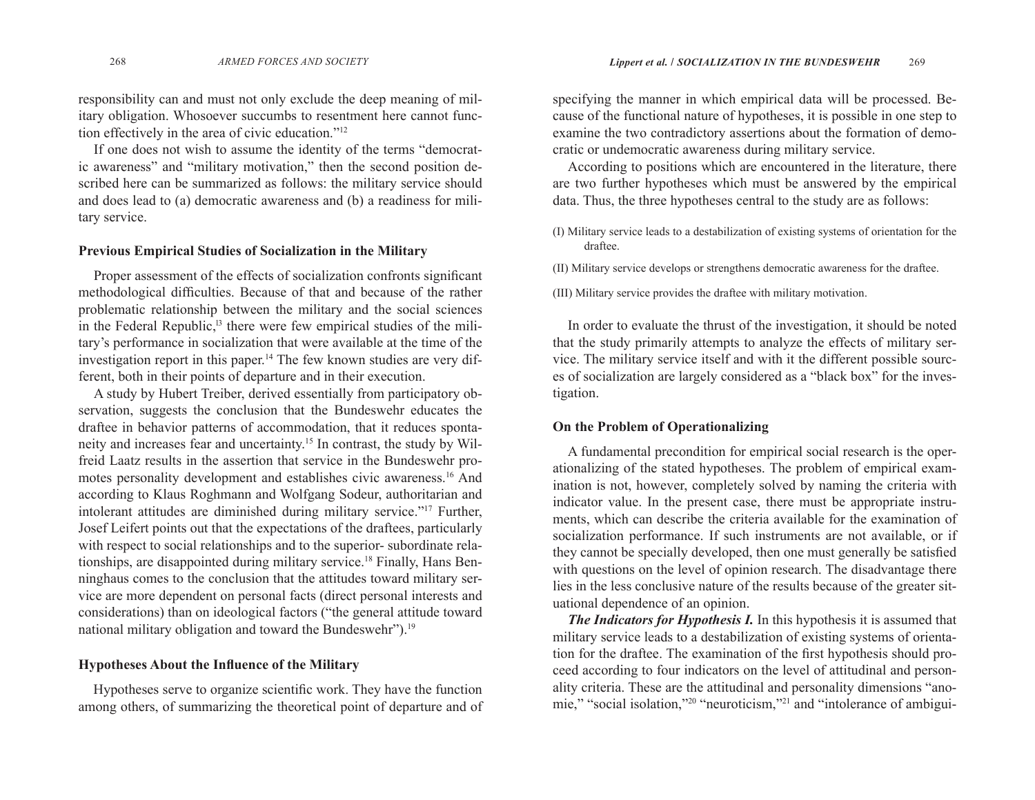responsibility can and must not only exclude the deep meaning of military obligation. Whosoever succumbs to resentment here cannot function effectively in the area of civic education."12

If one does not wish to assume the identity of the terms "democratic awareness" and "military motivation," then the second position described here can be summarized as follows: the military service should and does lead to (a) democratic awareness and (b) a readiness for military service.

#### **Previous Empirical Studies of Socialization in the Military**

Proper assessment of the effects of socialization confronts significant methodological difficulties. Because of that and because of the rather problematic relationship between the military and the social sciences in the Federal Republic,<sup>13</sup> there were few empirical studies of the military's performance in socialization that were available at the time of the investigation report in this paper.<sup>14</sup> The few known studies are very different, both in their points of departure and in their execution.

A study by Hubert Treiber, derived essentially from participatory observation, suggests the conclusion that the Bundeswehr educates the draftee in behavior patterns of accommodation, that it reduces spontaneity and increases fear and uncertainty.15 In contrast, the study by Wilfreid Laatz results in the assertion that service in the Bundeswehr promotes personality development and establishes civic awareness.16 And according to Klaus Roghmann and Wolfgang Sodeur, authoritarian and intolerant attitudes are diminished during military service."17 Further, Josef Leifert points out that the expectations of the draftees, particularly with respect to social relationships and to the superior- subordinate relationships, are disappointed during military service.<sup>18</sup> Finally, Hans Benninghaus comes to the conclusion that the attitudes toward military service are more dependent on personal facts (direct personal interests and considerations) than on ideological factors ("the general attitude toward national military obligation and toward the Bundeswehr").19

#### **Hypotheses About the In fl uence of the Military**

Hypotheses serve to organize scientific work. They have the function among others, of summarizing the theoretical point of departure and of

specifying the manner in which empirical data will be processed. Because of the functional nature of hypotheses, it is possible in one step to examine the two contradictory assertions about the formation of democratic or undemocratic awareness during military service.

According to positions which are encountered in the literature, there are two further hypotheses which must be answered by the empirical data. Thus, the three hypotheses central to the study are as follows:

(I) Military service leads to a destabilization of existing systems of orientation for the draftee.

(II) Military service develops or strengthens democratic awareness for the draftee.

(III) Military service provides the draftee with military motivation.

In order to evaluate the thrust of the investigation, it should be noted that the study primarily attempts to analyze the effects of military service. The military service itself and with it the different possible sources of socialization are largely considered as a "black box" for the investigation.

#### **On the Problem of Operationalizing**

A fundamental precondition for empirical social research is the operationalizing of the stated hypotheses. The problem of empirical examination is not, however, completely solved by naming the criteria with indicator value. In the present case, there must be appropriate instruments, which can describe the criteria available for the examination of socialization performance. If such instruments are not available, or if they cannot be specially developed, then one must generally be satisfied with questions on the level of opinion research. The disadvantage there lies in the less conclusive nature of the results because of the greater situational dependence of an opinion.

*The Indicators for Hypothesis I.* In this hypothesis it is assumed that military service leads to a destabilization of existing systems of orientation for the draftee. The examination of the first hypothesis should proceed according to four indicators on the level of attitudinal and personality criteria. These are the attitudinal and personality dimensions "anomie," "social isolation,"20 "neuroticism,"21 and "intolerance of ambigui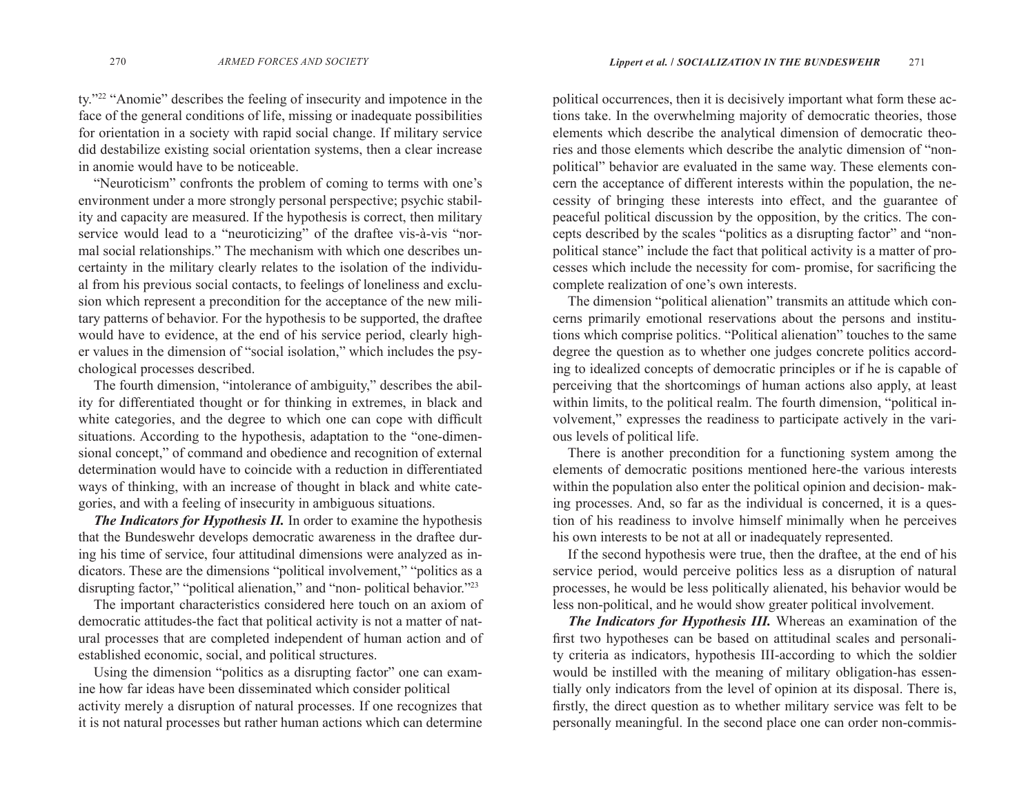ty."22 "Anomie" describes the feeling of insecurity and impotence in the face of the general conditions of life, missing or inadequate possibilities for orientation in a society with rapid social change. If military service did destabilize existing social orientation systems, then a clear increase in anomie would have to be noticeable.

"Neuroticism" confronts the problem of coming to terms with one's environment under a more strongly personal perspective; psychic stability and capacity are measured. If the hypothesis is correct, then military service would lead to a "neuroticizing" of the draftee vis-à-vis "normal social relationships." The mechanism with which one describes uncertainty in the military clearly relates to the isolation of the individual from his previous social contacts, to feelings of loneliness and exclusion which represent a precondition for the acceptance of the new military patterns of behavior. For the hypothesis to be supported, the draftee would have to evidence, at the end of his service period, clearly higher values in the dimension of "social isolation," which includes the psychological processes described.

The fourth dimension, "intolerance of ambiguity," describes the ability for differentiated thought or for thinking in extremes, in black and white categories, and the degree to which one can cope with difficult situations. According to the hypothesis, adaptation to the "one-dimensional concept," of command and obedience and recognition of external determination would have to coincide with a reduction in differentiated ways of thinking, with an increase of thought in black and white categories, and with a feeling of insecurity in ambiguous situations.

*The Indicators for Hypothesis II.* In order to examine the hypothesis that the Bundeswehr develops democratic awareness in the draftee during his time of service, four attitudinal dimensions were analyzed as indicators. These are the dimensions "political involvement," "politics as a disrupting factor," "political alienation," and "non- political behavior."23

The important characteristics considered here touch on an axiom of democratic attitudes-the fact that political activity is not a matter of natural processes that are completed independent of human action and of established economic, social, and political structures.

Using the dimension "politics as a disrupting factor" one can examine how far ideas have been disseminated which consider political activity merely a disruption of natural processes. If one recognizes that it is not natural processes but rather human actions which can determine

political occurrences, then it is decisively important what form these actions take. In the overwhelming majority of democratic theories, those elements which describe the analytical dimension of democratic theories and those elements which describe the analytic dimension of "nonpolitical" behavior are evaluated in the same way. These elements concern the acceptance of different interests within the population, the necessity of bringing these interests into effect, and the guarantee of peaceful political discussion by the opposition, by the critics. The concepts described by the scales "politics as a disrupting factor" and "nonpolitical stance" include the fact that political activity is a matter of processes which include the necessity for com- promise, for sacrificing the complete realization of one's own interests.

The dimension "political alienation" transmits an attitude which concerns primarily emotional reservations about the persons and institutions which comprise politics. "Political alienation" touches to the same degree the question as to whether one judges concrete politics according to idealized concepts of democratic principles or if he is capable of perceiving that the shortcomings of human actions also apply, at least within limits, to the political realm. The fourth dimension, "political involvement," expresses the readiness to participate actively in the various levels of political life.

There is another precondition for a functioning system among the elements of democratic positions mentioned here-the various interests within the population also enter the political opinion and decision- making processes. And, so far as the individual is concerned, it is a question of his readiness to involve himself minimally when he perceives his own interests to be not at all or inadequately represented.

If the second hypothesis were true, then the draftee, at the end of his service period, would perceive politics less as a disruption of natural processes, he would be less politically alienated, his behavior would be less non-political, and he would show greater political involvement.

*The Indicators for Hypothesis III.* Whereas an examination of the first two hypotheses can be based on attitudinal scales and personality criteria as indicators, hypothesis III-according to which the soldier would be instilled with the meaning of military obligation-has essentially only indicators from the level of opinion at its disposal. There is, firstly, the direct question as to whether military service was felt to be personally meaningful. In the second place one can order non-commis-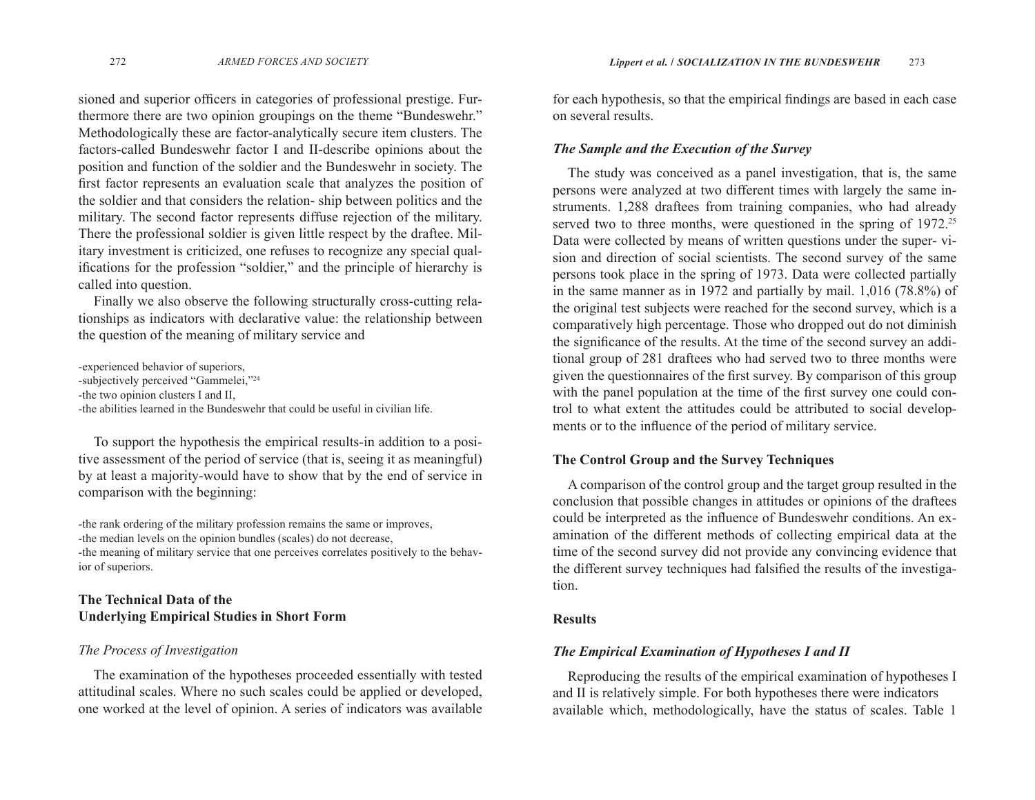sioned and superior officers in categories of professional prestige. Furthermore there are two opinion groupings on the theme "Bundeswehr." Methodologically these are factor-analytically secure item clusters. The factors-called Bundeswehr factor I and II-describe opinions about the position and function of the soldier and the Bundeswehr in society. The first factor represents an evaluation scale that analyzes the position of the soldier and that considers the relation- ship between politics and the military. The second factor represents diffuse rejection of the military. There the professional soldier is given little respect by the draftee. Military investment is criticized, one refuses to recognize any special qualifications for the profession "soldier," and the principle of hierarchy is called into question.

Finally we also observe the following structurally cross-cutting relationships as indicators with declarative value: the relationship between the question of the meaning of military service and

-experienced behavior of superiors, -subjectively perceived "Gammelei,"24 -the two opinion clusters I and II, -the abilities learned in the Bundeswehr that could be useful in civilian life.

To support the hypothesis the empirical results-in addition to a positive assessment of the period of service (that is, seeing it as meaningful) by at least a majority-would have to show that by the end of service in comparison with the beginning:

-the rank ordering of the military profession remains the same or improves, -the median levels on the opinion bundles (scales) do not decrease, -the meaning of military service that one perceives correlates positively to the behavior of superiors.

### **The Technical Data of the Underlying Empirical Studies in Short Form**

#### *The Process of Investigation*

The examination of the hypotheses proceeded essentially with tested attitudinal scales. Where no such scales could be applied or developed, one worked at the level of opinion. A series of indicators was available

for each hypothesis, so that the empirical findings are based in each case on several results.

#### *The Sample and the Execution of the Survey*

The study was conceived as a panel investigation, that is, the same persons were analyzed at two different times with largely the same instruments. 1,288 draftees from training companies, who had already served two to three months, were questioned in the spring of 1972.<sup>25</sup> Data were collected by means of written questions under the super- vision and direction of social scientists. The second survey of the same persons took place in the spring of 1973. Data were collected partially in the same manner as in 1972 and partially by mail. 1,016 (78.8%) of the original test subjects were reached for the second survey, which is a comparatively high percentage. Those who dropped out do not diminish the significance of the results. At the time of the second survey an additional group of 281 draftees who had served two to three months were given the questionnaires of the first survey. By comparison of this group with the panel population at the time of the first survey one could control to what extent the attitudes could be attributed to social developments or to the influence of the period of military service.

#### **The Control Group and the Survey Techniques**

A comparison of the control group and the target group resulted in the conclusion that possible changes in attitudes or opinions of the draftees could be interpreted as the influence of Bundeswehr conditions. An examination of the different methods of collecting empirical data at the time of the second survey did not provide any convincing evidence that the different survey techniques had falsified the results of the investigation.

#### **Results**

#### *The Empirical Examination of Hypotheses I and II*

Reproducing the results of the empirical examination of hypotheses I and II is relatively simple. For both hypotheses there were indicators available which, methodologically, have the status of scales. Table 1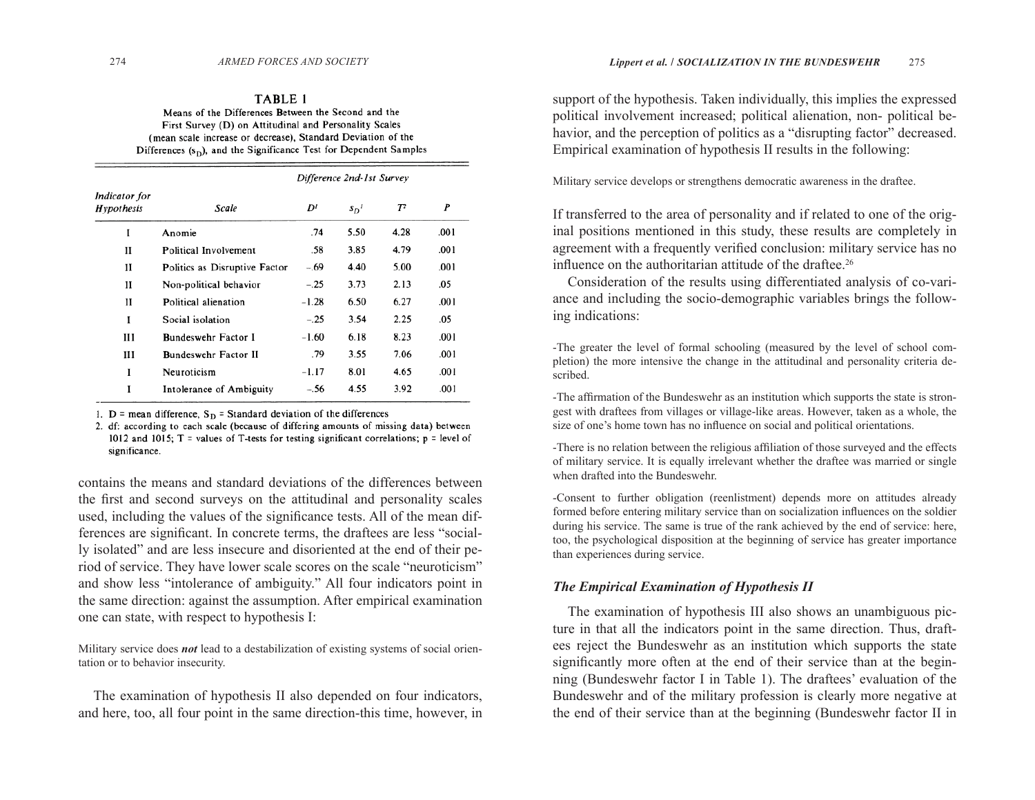#### TABLE 1 Means of the Differences Between the Second and the First Survey (D) on Attitudinal and Personality Scales (mean scale increase or decrease), Standard Deviation of the Differences  $(s_D)$ , and the Significance Test for Dependent Samples

|                             | Difference 2nd-1st Survey     |         |        |       |      |  |
|-----------------------------|-------------------------------|---------|--------|-------|------|--|
| Indicator for<br>Hypothesis | Scale                         | D       | $s_D'$ | $T^2$ | P    |  |
| I                           | Anomie                        | .74     | 5.50   | 4.28  | .001 |  |
| н                           | Political Involvement         | .58     | 3.85   | 4.79  | .001 |  |
| н                           | Politics as Disruptive Factor | $-.69$  | 4.40   | 5.00  | .001 |  |
| и                           | Non-political behavior        | $-.25$  | 3.73   | 2.13  | .05  |  |
| н                           | Political alienation          | $-1.28$ | 6.50   | 6.27  | .001 |  |
| I                           | Social isolation              | $-.25$  | 3.54   | 2.25  | .05  |  |
| ш                           | Bundeswehr Factor I           | $-1.60$ | 6.18   | 8.23  | .001 |  |
| Ш                           | <b>Bundeswehr Factor II</b>   | .79     | 3.55   | 7.06  | .001 |  |
| I                           | Neuroticism                   | $-1.17$ | 8.01   | 4.65  | .001 |  |
| I                           | Intolerance of Ambiguity      | $-.56$  | 4.55   | 3.92  | .001 |  |

1. D = mean difference,  $S_D$  = Standard deviation of the differences

2. df: according to each scale (because of differing amounts of missing data) between 1012 and 1015; T = values of T-tests for testing significant correlations;  $p = level of$ significance.

contains the means and standard deviations of the differences between the first and second surveys on the attitudinal and personality scales used, including the values of the significance tests. All of the mean differences are significant. In concrete terms, the draftees are less "socially isolated" and are less insecure and disoriented at the end of their period of service. They have lower scale scores on the scale "neuroticism" and show less "intolerance of ambiguity." All four indicators point in the same direction: against the assumption. After empirical examination one can state, with respect to hypothesis I:

Military service does *not* lead to a destabilization of existing systems of social orientation or to behavior insecurity.

The examination of hypothesis II also depended on four indicators, and here, too, all four point in the same direction-this time, however, in

support of the hypothesis. Taken individually, this implies the expressed political involvement increased; political alienation, non- political behavior, and the perception of politics as a "disrupting factor" decreased. Empirical examination of hypothesis II results in the following:

Military service develops or strengthens democratic awareness in the draftee.

If transferred to the area of personality and if related to one of the original positions mentioned in this study, these results are completely in agreement with a frequently verified conclusion: military service has no influence on the authoritarian attitude of the draftee.<sup>26</sup>

Consideration of the results using differentiated analysis of co-variance and including the socio-demographic variables brings the following indications:

-The greater the level of formal schooling (measured by the level of school completion) the more intensive the change in the attitudinal and personality criteria described.

-The affirmation of the Bundeswehr as an institution which supports the state is strongest with draftees from villages or village-like areas. However, taken as a whole, the size of one's home town has no influence on social and political orientations.

-There is no relation between the religious affiliation of those surveyed and the effects of military service. It is equally irrelevant whether the draftee was married or single when drafted into the Bundeswehr.

-Consent to further obligation (reenlistment) depends more on attitudes already formed before entering military service than on socialization influences on the soldier during his service. The same is true of the rank achieved by the end of service: here, too, the psychological disposition at the beginning of service has greater importance than experiences during service.

#### *The Empirical Examination of Hypothesis II*

The examination of hypothesis III also shows an unambiguous picture in that all the indicators point in the same direction. Thus, draftees reject the Bundeswehr as an institution which supports the state significantly more often at the end of their service than at the beginning (Bundeswehr factor I in Table 1). The draftees' evaluation of the Bundeswehr and of the military profession is clearly more negative at the end of their service than at the beginning (Bundeswehr factor II in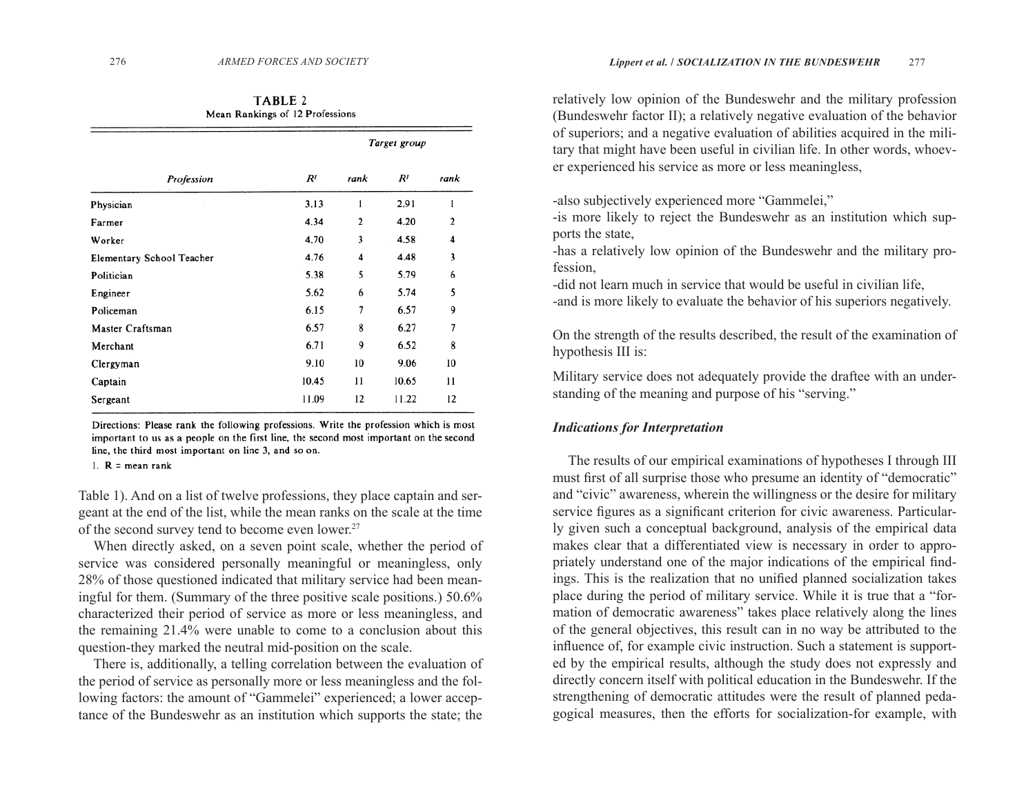TABLE 2 Mean Rankings of 12 Professions

|                           | Target group |      |                |              |  |
|---------------------------|--------------|------|----------------|--------------|--|
| Profession                | $R^{I}$      | rank | R <sup>I</sup> | rank         |  |
| Physician                 | 3.13         | 1    | 2.91           | 1            |  |
| Farmer                    | 4.34         | 2    | 4.20           | $\mathbf{2}$ |  |
| Worker                    | 4.70         | 3    | 4.58           | 4            |  |
| Elementary School Teacher | 4.76         | 4    | 4.48           | 3            |  |
| Politician                | 5.38         | 5    | 5.79           | 6            |  |
| Engineer                  | 5.62         | 6    | 5.74           | 5            |  |
| Policeman                 | 6.15         | 7    | 6.57           | 9            |  |
| Master Craftsman          | 6.57         | 8    | 6.27           | 7            |  |
| Merchant                  | 6.71         | 9    | 6.52           | 8            |  |
| Clergyman                 | 9.10         | 10   | 9.06           | 10           |  |
| Captain                   | 10.45        | 11   | 10.65          | 11           |  |
| Sergeant                  | 11.09        | 12   | 11.22          | 12           |  |
|                           |              |      |                |              |  |

Directions: Please rank the following professions. Write the profession which is most important to us as a people on the first line, the second most important on the second line, the third most important on line 3, and so on.

1.  $R =$  mean rank

Table 1). And on a list of twelve professions, they place captain and sergeant at the end of the list, while the mean ranks on the scale at the time of the second survey tend to become even lower.<sup>27</sup>

When directly asked, on a seven point scale, whether the period of service was considered personally meaningful or meaningless, only 28% of those questioned indicated that military service had been meaningful for them. (Summary of the three positive scale positions.) 50.6% characterized their period of service as more or less meaningless, and the remaining 21.4% were unable to come to a conclusion about this question-they marked the neutral mid-position on the scale.

There is, additionally, a telling correlation between the evaluation of the period of service as personally more or less meaningless and the following factors: the amount of "Gammelei" experienced; a lower acceptance of the Bundeswehr as an institution which supports the state; the

relatively low opinion of the Bundeswehr and the military profession (Bundeswehr factor II); a relatively negative evaluation of the behavior of superiors; and a negative evaluation of abilities acquired in the military that might have been useful in civilian life. In other words, whoever experienced his service as more or less meaningless,

-also subjectively experienced more "Gammelei,"

-is more likely to reject the Bundeswehr as an institution which supports the state,

-has a relatively low opinion of the Bundeswehr and the military profession,

-did not learn much in service that would be useful in civilian life, -and is more likely to evaluate the behavior of his superiors negatively.

On the strength of the results described, the result of the examination of hypothesis III is:

Military service does not adequately provide the draftee with an understanding of the meaning and purpose of his "serving."

#### *Indications for Interpretation*

The results of our empirical examinations of hypotheses I through III must first of all surprise those who presume an identity of "democratic" and "civic" awareness, wherein the willingness or the desire for military service figures as a significant criterion for civic awareness. Particularly given such a conceptual background, analysis of the empirical data makes clear that a differentiated view is necessary in order to appropriately understand one of the major indications of the empirical findings. This is the realization that no unified planned socialization takes place during the period of military service. While it is true that a "formation of democratic awareness" takes place relatively along the lines of the general objectives, this result can in no way be attributed to the influence of, for example civic instruction. Such a statement is supported by the empirical results, although the study does not expressly and directly concern itself with political education in the Bundeswehr. If the strengthening of democratic attitudes were the result of planned pedagogical measures, then the efforts for socialization-for example, with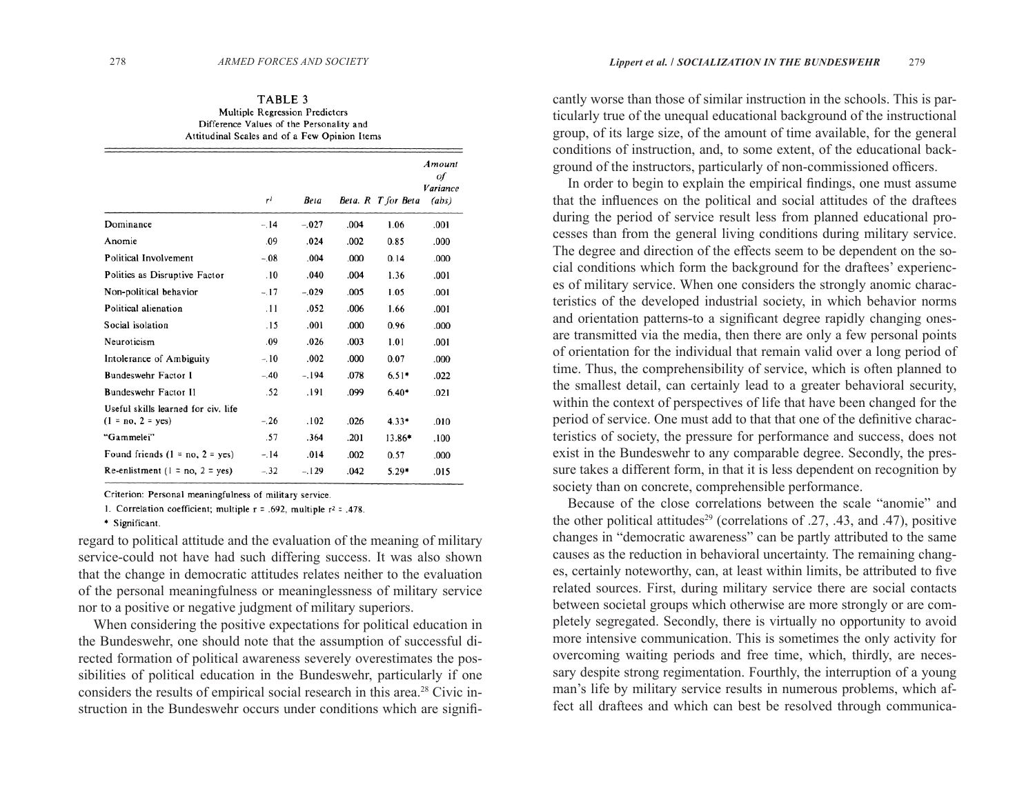#### TABLE 3 Multiple Regression Predictors Difference Values of the Personality and Attitudinal Scales and of a Few Opinion Items

|                                                            | r <sup>1</sup> | <b>Beta</b> |      | Beta. R T for Beta | Amount<br>of<br>Variance<br>(abs) |
|------------------------------------------------------------|----------------|-------------|------|--------------------|-----------------------------------|
| Dominance                                                  | $-.14$         | $-.027$     | .004 | 1.06               | .001                              |
| Anomie                                                     | .09            | .024        | .002 | 0.85               | .000                              |
| Political Involvement                                      | $-.08$         | .004        | .000 | 0.14               | .000                              |
| Politics as Disruptive Factor                              | .10            | .040        | .004 | 1.36               | .001                              |
| Non-political behavior                                     | $-.17$         | $-.029$     | .005 | 1.05               | .001                              |
| Political alienation                                       | .11            | .052        | .006 | 1.66               | .001                              |
| Social isolation                                           | .15            | .001        | .000 | 0.96               | .000                              |
| Neuroticism                                                | .09            | .026        | .003 | 1.01               | .001                              |
| Intolerance of Ambiguity                                   | $-.10$         | .002        | .000 | 0.07               | .000                              |
| Bundeswehr Factor I                                        | $-.40$         | $-.194$     | .078 | $6.51*$            | .022                              |
| Bundeswehr Factor II                                       | .52            | .191        | .099 | $6.40*$            | .021                              |
| Useful skills learned for civ. life<br>$(1 = no, 2 = yes)$ | $-.26$         | .102        | .026 | $4.33*$            | .010                              |
| "Gammelei"                                                 | .57            | .364        | .201 | 13.86*             | .100                              |
| Found friends $(1 = no, 2 = yes)$                          | $-.14$         | .014        | .002 | 0.57               | .000                              |
| Re-enlistment $(1 = no, 2 = yes)$                          | $-.32$         | $-.129$     | .042 | $5.29*$            | .015                              |

Criterion: Personal meaningfulness of military service.

1. Correlation coefficient; multiple  $r = .692$ , multiple  $r^2 = .478$ .

\* Significant.

regard to political attitude and the evaluation of the meaning of military service-could not have had such differing success. It was also shown that the change in democratic attitudes relates neither to the evaluation of the personal meaningfulness or meaninglessness of military service nor to a positive or negative judgment of military superiors.

When considering the positive expectations for political education in the Bundeswehr, one should note that the assumption of successful directed formation of political awareness severely overestimates the possibilities of political education in the Bundeswehr, particularly if one considers the results of empirical social research in this area.28 Civic instruction in the Bundeswehr occurs under conditions which are signifi-

cantly worse than those of similar instruction in the schools. This is particularly true of the unequal educational background of the instructional group, of its large size, of the amount of time available, for the general conditions of instruction, and, to some extent, of the educational background of the instructors, particularly of non-commissioned officers.

In order to begin to explain the empirical findings, one must assume that the influences on the political and social attitudes of the draftees during the period of service result less from planned educational processes than from the general living conditions during military service. The degree and direction of the effects seem to be dependent on the social conditions which form the background for the draftees' experiences of military service. When one considers the strongly anomic characteristics of the developed industrial society, in which behavior norms and orientation patterns-to a significant degree rapidly changing onesare transmitted via the media, then there are only a few personal points of orientation for the individual that remain valid over a long period of time. Thus, the comprehensibility of service, which is often planned to the smallest detail, can certainly lead to a greater behavioral security, within the context of perspectives of life that have been changed for the period of service. One must add to that that one of the definitive characteristics of society, the pressure for performance and success, does not exist in the Bundeswehr to any comparable degree. Secondly, the pressure takes a different form, in that it is less dependent on recognition by society than on concrete, comprehensible performance.

Because of the close correlations between the scale "anomie" and the other political attitudes<sup>29</sup> (correlations of  $.27, .43,$  and  $.47$ ), positive changes in "democratic awareness" can be partly attributed to the same causes as the reduction in behavioral uncertainty. The remaining changes, certainly noteworthy, can, at least within limits, be attributed to five related sources. First, during military service there are social contacts between societal groups which otherwise are more strongly or are completely segregated. Secondly, there is virtually no opportunity to avoid more intensive communication. This is sometimes the only activity for overcoming waiting periods and free time, which, thirdly, are necessary despite strong regimentation. Fourthly, the interruption of a young man's life by military service results in numerous problems, which affect all draftees and which can best be resolved through communica-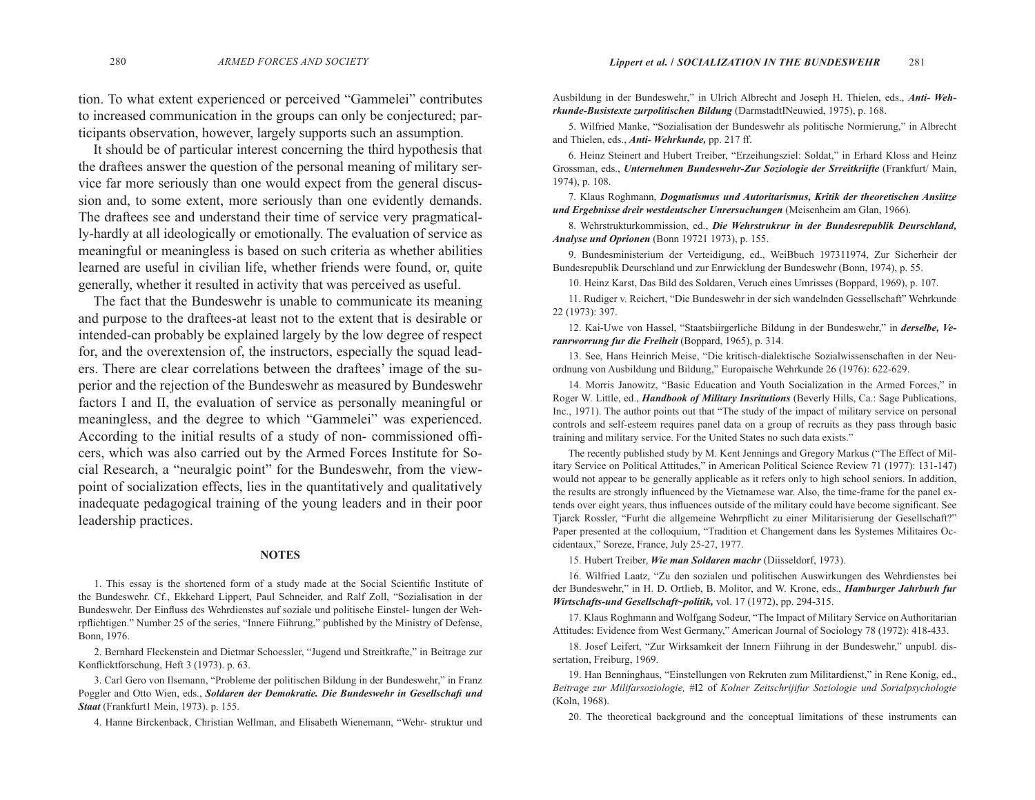tion. To what extent experienced or perceived "Gammelei" contributes to increased communication in the groups can only be conjectured; participants observation, however, largely supports such an assumption.

It should be of particular interest concerning the third hypothesis that the draftees answer the question of the personal meaning of military service far more seriously than one would expect from the general discussion and, to some extent, more seriously than one evidently demands. The draftees see and understand their time of service very pragmatically-hardly at all ideologically or emotionally. The evaluation of service as meaningful or meaningless is based on such criteria as whether abilities learned are useful in civilian life, whether friends were found, or, quite generally, whether it resulted in activity that was perceived as useful.

The fact that the Bundeswehr is unable to communicate its meaning and purpose to the draftees-at least not to the extent that is desirable or intended-can probably be explained largely by the low degree of respect for, and the overextension of, the instructors, especially the squad leaders. There are clear correlations between the draftees' image of the superior and the rejection of the Bundeswehr as measured by Bundeswehr factors I and II, the evaluation of service as personally meaningful or meaningless, and the degree to which "Gammelei" was experienced. According to the initial results of a study of non-commissioned officers, which was also carried out by the Armed Forces Institute for Social Research, a "neuralgic point" for the Bundeswehr, from the viewpoint of socialization effects, lies in the quantitatively and qualitatively inadequate pedagogical training of the young leaders and in their poor leadership practices.

#### **NOTES**

1. This essay is the shortened form of a study made at the Social Scientific Institute of the Bundeswehr. Cf., Ekkehard Lippert, Paul Schneider, and Ralf Zoll, "Sozialisation in der Bundeswehr. Der Einfluss des Wehrdienstes auf soziale und politische Einstel- lungen der Wehrpflichtigen." Number 25 of the series, "Innere Fiihrung," published by the Ministry of Defense, Bonn, 1976.

2. Bernhard Fleckenstein and Dietmar Schoessler, "Jugend und Streitkrafte," in Beitrage zur Konflicktforschung, Heft 3 (1973). p. 63.

3. Carl Gero von Ilsemann, "Probleme der politischen Bildung in der Bundeswehr," in Franz Poggler and Otto Wien, eds., *Soldaren der Demokratie. Die Bundeswehr in Gesellschafi und Staat* (Frankfurt1 Mein, 1973). p. 155.

4. Hanne Birckenback, Christian Wellman, and Elisabeth Wienemann, "Wehr- struktur und

Ausbildung in der Bundeswehr," in Ulrich Albrecht and Joseph H. Thielen, eds., *Anti- Wehrkunde-Busistexte zurpolitischen Bildung* (DarmstadtINeuwied, 1975), p. 168.

5. Wilfried Manke, "Sozialisation der Bundeswehr als politische Normierung," in Albrecht and Thielen, eds., *Anti- Wehrkunde,* pp. 217 ff.

6. Heinz Steinert and Hubert Treiber, "Erzeihungsziel: Soldat," in Erhard Kloss and Heinz Grossman, eds., *Unternehmen Bundeswehr-Zur Soziologie der Srreitkriifte* (Frankfurt/ Main, 1974), p. 108.

7. Klaus Roghmann, *Dogmatismus und Autoritarismus, Kritik der theoretischen Ansiitze und Ergebnisse dreir westdeutscher Unrersuchungen* (Meisenheim am Glan, 1966).

8. Wehrstrukturkommission, ed., *Die Wehrstrukrur in der Bundesrepublik Deurschland, Analyse und Oprionen* (Bonn 19721 1973), p. 155.

9. Bundesministerium der Verteidigung, ed., WeiBbuch 197311974, Zur Sicherheir der Bundesrepublik Deurschland und zur Enrwicklung der Bundeswehr (Bonn, 1974), p. 55.

10. Heinz Karst, Das Bild des Soldaren, Veruch eines Umrisses (Boppard, 1969), p. 107.

11. Rudiger v. Reichert, "Die Bundeswehr in der sich wandelnden Gessellschaft" Wehrkunde 22 (1973): 397.

12. Kai-Uwe von Hassel, "Staatsbiirgerliche Bildung in der Bundeswehr," in *derselbe, Veranrworrung fur die Freiheit* (Boppard, 1965), p. 314.

13. See, Hans Heinrich Meise, "Die kritisch-dialektische Sozialwissenschaften in der Neuordnung von Ausbildung und Bildung," Europaische Wehrkunde 26 (1976): 622-629.

14. Morris Janowitz, "Basic Education and Youth Socialization in the Armed Forces," in Roger W. Little, ed., *Handbook of Military Insritutions* (Beverly Hills, Ca.: Sage Publications, Inc., 1971). The author points out that "The study of the impact of military service on personal controls and self-esteem requires panel data on a group of recruits as they pass through basic training and military service. For the United States no such data exists."

The recently published study by M. Kent Jennings and Gregory Markus ("The Effect of Military Service on Political Attitudes," in American Political Science Review 71 (1977): 131-147) would not appear to be generally applicable as it refers only to high school seniors. In addition, the results are strongly influenced by the Vietnamese war. Also, the time-frame for the panel extends over eight years, thus influences outside of the military could have become significant. See Tjarck Rossler, "Furht die allgemeine Wehrpflicht zu einer Militarisierung der Gesellschaft?" Paper presented at the colloquium, "Tradition et Changement dans les Systemes Militaires Occidentaux," Soreze, France, July 25-27, 1977.

15. Hubert Treiber, *Wie man Soldaren machr* (Diisseldorf, 1973).

16. Wilfried Laatz, "Zu den sozialen und politischen Auswirkungen des Wehrdienstes bei der Bundeswehr," in H. D. Ortlieb, B. Molitor, and W. Krone, eds., *Hamburger Jahrburh fur Wirtschafts-und Gesellschaft~politik,* vol. 17 (1972), pp. 294-315.

17. Klaus Roghmann and Wolfgang Sodeur, "The Impact of Military Service on Authoritarian Attitudes: Evidence from West Germany," American Journal of Sociology 78 (1972): 418-433.

18. Josef Leifert, "Zur Wirksamkeit der Innern Fiihrung in der Bundeswehr," unpubl. dissertation, Freiburg, 1969.

19. Han Benninghaus, "Einstellungen von Rekruten zum Militardienst," in Rene Konig, ed., *Beitrage zur Milifarsoziologie,* #I2 of *Kolner Zeitschrijifur Soziologie und Sorialpsychologie*  (Koln, 1968).

20. The theoretical background and the conceptual limitations of these instruments can